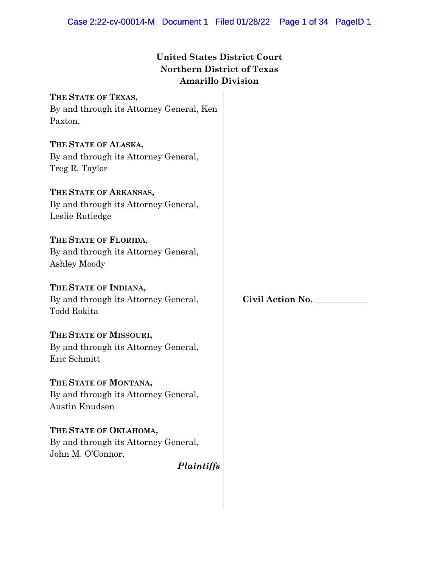# **United States District Court Northern District of Texas Amarillo Division**

**THE STATE OF TEXAS,** By and through its Attorney General, Ken Paxton,

**THE STATE OF ALASKA,** By and through its Attorney General, Treg R. Taylor

**THE STATE OF ARKANSAS,** By and through its Attorney General, Leslie Rutledge

**THE STATE OF FLORIDA**, By and through its Attorney General, Ashley Moody

**THE STATE OF INDIANA,** By and through its Attorney General, Todd Rokita

**THE STATE OF MISSOURI,** By and through its Attorney General, Eric Schmitt

**THE STATE OF MONTANA,** By and through its Attorney General, Austin Knudsen

**THE STATE OF OKLAHOMA,** By and through its Attorney General, John M. O'Connor,

*Plaintiffs*

**Civil Action No. \_\_\_\_\_\_\_\_\_\_\_\_**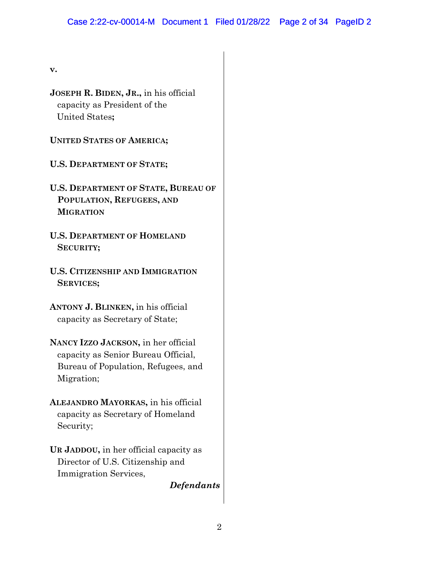**v.**

**JOSEPH R. BIDEN, JR.,** in his official capacity as President of the United States**;** 

**UNITED STATES OF AMERICA;** 

**U.S. DEPARTMENT OF STATE;**

- **U.S. DEPARTMENT OF STATE, BUREAU OF POPULATION, REFUGEES, AND MIGRATION**
- **U.S. DEPARTMENT OF HOMELAND SECURITY;**
- **U.S. CITIZENSHIP AND IMMIGRATION SERVICES;**
- **ANTONY J. BLINKEN,** in his official capacity as Secretary of State;
- **NANCY IZZO JACKSON,** in her official capacity as Senior Bureau Official, Bureau of Population, Refugees, and Migration;
- **ALEJANDRO MAYORKAS,** in his official capacity as Secretary of Homeland Security;
- **UR JADDOU,** in her official capacity as Director of U.S. Citizenship and Immigration Services,

*Defendants*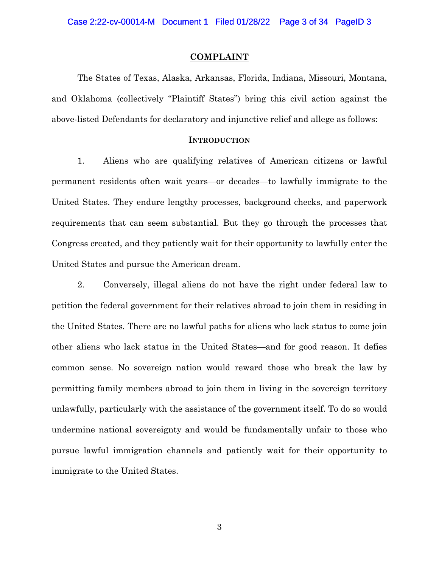#### **COMPLAINT**

The States of Texas, Alaska, Arkansas, Florida, Indiana, Missouri, Montana, and Oklahoma (collectively "Plaintiff States") bring this civil action against the above-listed Defendants for declaratory and injunctive relief and allege as follows:

#### **INTRODUCTION**

1. Aliens who are qualifying relatives of American citizens or lawful permanent residents often wait years—or decades—to lawfully immigrate to the United States. They endure lengthy processes, background checks, and paperwork requirements that can seem substantial. But they go through the processes that Congress created, and they patiently wait for their opportunity to lawfully enter the United States and pursue the American dream.

2. Conversely, illegal aliens do not have the right under federal law to petition the federal government for their relatives abroad to join them in residing in the United States. There are no lawful paths for aliens who lack status to come join other aliens who lack status in the United States—and for good reason. It defies common sense. No sovereign nation would reward those who break the law by permitting family members abroad to join them in living in the sovereign territory unlawfully, particularly with the assistance of the government itself. To do so would undermine national sovereignty and would be fundamentally unfair to those who pursue lawful immigration channels and patiently wait for their opportunity to immigrate to the United States.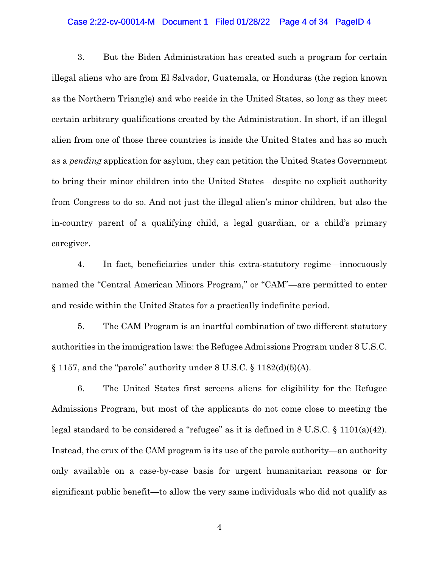#### Case 2:22-cv-00014-M Document 1 Filed 01/28/22 Page 4 of 34 PageID 4

3. But the Biden Administration has created such a program for certain illegal aliens who are from El Salvador, Guatemala, or Honduras (the region known as the Northern Triangle) and who reside in the United States, so long as they meet certain arbitrary qualifications created by the Administration. In short, if an illegal alien from one of those three countries is inside the United States and has so much as a *pending* application for asylum, they can petition the United States Government to bring their minor children into the United States—despite no explicit authority from Congress to do so. And not just the illegal alien's minor children, but also the in-country parent of a qualifying child, a legal guardian, or a child's primary caregiver.

4. In fact, beneficiaries under this extra-statutory regime—innocuously named the "Central American Minors Program," or "CAM"—are permitted to enter and reside within the United States for a practically indefinite period.

5. The CAM Program is an inartful combination of two different statutory authorities in the immigration laws: the Refugee Admissions Program under 8 U.S.C.  $\S 1157$ , and the "parole" authority under 8 U.S.C.  $\S 1182(d)(5)(A)$ .

6. The United States first screens aliens for eligibility for the Refugee Admissions Program, but most of the applicants do not come close to meeting the legal standard to be considered a "refugee" as it is defined in 8 U.S.C. § 1101(a)(42). Instead, the crux of the CAM program is its use of the parole authority—an authority only available on a case-by-case basis for urgent humanitarian reasons or for significant public benefit—to allow the very same individuals who did not qualify as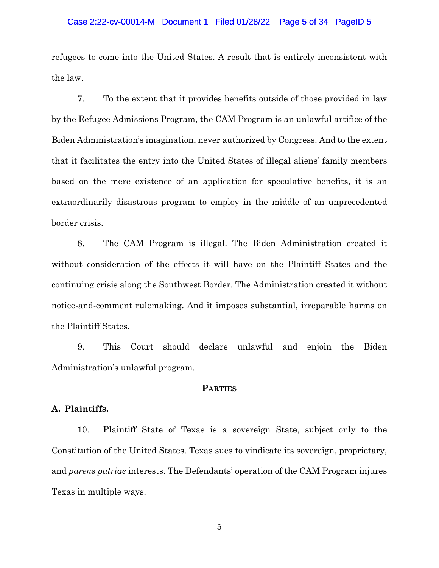#### Case 2:22-cv-00014-M Document 1 Filed 01/28/22 Page 5 of 34 PageID 5

refugees to come into the United States. A result that is entirely inconsistent with the law.

7. To the extent that it provides benefits outside of those provided in law by the Refugee Admissions Program, the CAM Program is an unlawful artifice of the Biden Administration's imagination, never authorized by Congress. And to the extent that it facilitates the entry into the United States of illegal aliens' family members based on the mere existence of an application for speculative benefits, it is an extraordinarily disastrous program to employ in the middle of an unprecedented border crisis.

8. The CAM Program is illegal. The Biden Administration created it without consideration of the effects it will have on the Plaintiff States and the continuing crisis along the Southwest Border. The Administration created it without notice-and-comment rulemaking. And it imposes substantial, irreparable harms on the Plaintiff States.

9. This Court should declare unlawful and enjoin the Biden Administration's unlawful program.

#### **PARTIES**

## **A. Plaintiffs.**

10. Plaintiff State of Texas is a sovereign State, subject only to the Constitution of the United States. Texas sues to vindicate its sovereign, proprietary, and *parens patriae* interests. The Defendants' operation of the CAM Program injures Texas in multiple ways.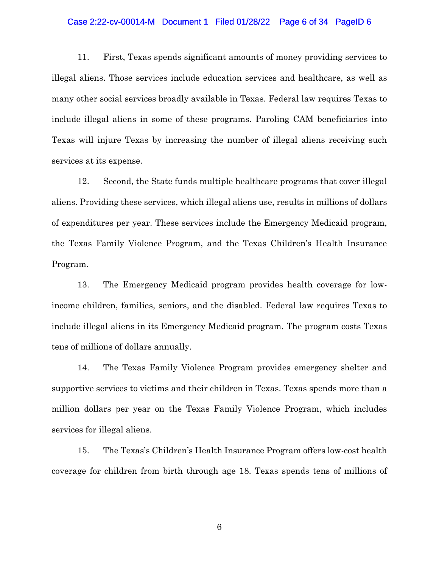#### Case 2:22-cv-00014-M Document 1 Filed 01/28/22 Page 6 of 34 PageID 6

11. First, Texas spends significant amounts of money providing services to illegal aliens. Those services include education services and healthcare, as well as many other social services broadly available in Texas. Federal law requires Texas to include illegal aliens in some of these programs. Paroling CAM beneficiaries into Texas will injure Texas by increasing the number of illegal aliens receiving such services at its expense.

12. Second, the State funds multiple healthcare programs that cover illegal aliens. Providing these services, which illegal aliens use, results in millions of dollars of expenditures per year. These services include the Emergency Medicaid program, the Texas Family Violence Program, and the Texas Children's Health Insurance Program.

13. The Emergency Medicaid program provides health coverage for lowincome children, families, seniors, and the disabled. Federal law requires Texas to include illegal aliens in its Emergency Medicaid program. The program costs Texas tens of millions of dollars annually.

14. The Texas Family Violence Program provides emergency shelter and supportive services to victims and their children in Texas. Texas spends more than a million dollars per year on the Texas Family Violence Program, which includes services for illegal aliens.

15. The Texas's Children's Health Insurance Program offers low-cost health coverage for children from birth through age 18. Texas spends tens of millions of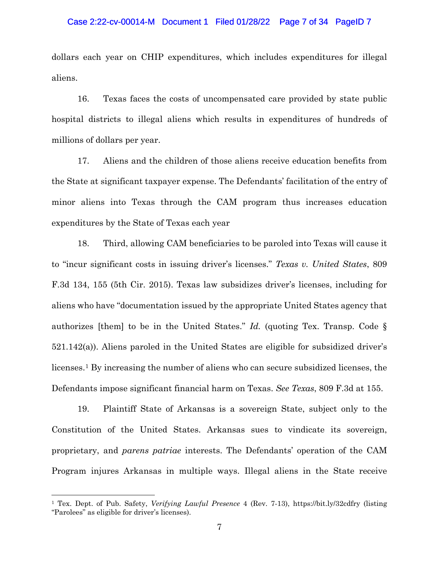#### Case 2:22-cv-00014-M Document 1 Filed 01/28/22 Page 7 of 34 PageID 7

dollars each year on CHIP expenditures, which includes expenditures for illegal aliens.

16. Texas faces the costs of uncompensated care provided by state public hospital districts to illegal aliens which results in expenditures of hundreds of millions of dollars per year.

17. Aliens and the children of those aliens receive education benefits from the State at significant taxpayer expense. The Defendants' facilitation of the entry of minor aliens into Texas through the CAM program thus increases education expenditures by the State of Texas each year

18. Third, allowing CAM beneficiaries to be paroled into Texas will cause it to "incur significant costs in issuing driver's licenses." *Texas v. United States*, 809 F.3d 134, 155 (5th Cir. 2015). Texas law subsidizes driver's licenses, including for aliens who have "documentation issued by the appropriate United States agency that authorizes [them] to be in the United States." *Id.* (quoting Tex. Transp. Code § 521.142(a)). Aliens paroled in the United States are eligible for subsidized driver's licenses.[1](#page-6-0) By increasing the number of aliens who can secure subsidized licenses, the Defendants impose significant financial harm on Texas. *See Texas*, 809 F.3d at 155.

19. Plaintiff State of Arkansas is a sovereign State, subject only to the Constitution of the United States. Arkansas sues to vindicate its sovereign, proprietary, and *parens patriae* interests. The Defendants' operation of the CAM Program injures Arkansas in multiple ways. Illegal aliens in the State receive

<span id="page-6-0"></span><sup>1</sup> Tex. Dept. of Pub. Safety, *Verifying Lawful Presence* 4 (Rev. 7-13), https://bit.ly/32cdfry (listing "Parolees" as eligible for driver's licenses).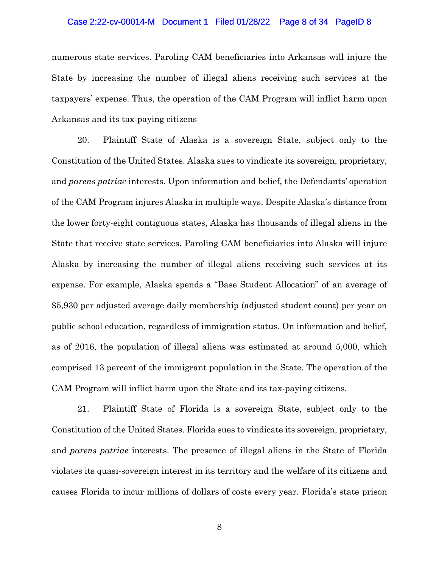#### Case 2:22-cv-00014-M Document 1 Filed 01/28/22 Page 8 of 34 PageID 8

numerous state services. Paroling CAM beneficiaries into Arkansas will injure the State by increasing the number of illegal aliens receiving such services at the taxpayers' expense. Thus, the operation of the CAM Program will inflict harm upon Arkansas and its tax-paying citizens

20. Plaintiff State of Alaska is a sovereign State, subject only to the Constitution of the United States. Alaska sues to vindicate its sovereign, proprietary, and *parens patriae* interests. Upon information and belief, the Defendants' operation of the CAM Program injures Alaska in multiple ways. Despite Alaska's distance from the lower forty-eight contiguous states, Alaska has thousands of illegal aliens in the State that receive state services. Paroling CAM beneficiaries into Alaska will injure Alaska by increasing the number of illegal aliens receiving such services at its expense. For example, Alaska spends a "Base Student Allocation" of an average of \$5,930 per adjusted average daily membership (adjusted student count) per year on public school education, regardless of immigration status. On information and belief, as of 2016, the population of illegal aliens was estimated at around 5,000, which comprised 13 percent of the immigrant population in the State. The operation of the CAM Program will inflict harm upon the State and its tax-paying citizens.

21. Plaintiff State of Florida is a sovereign State, subject only to the Constitution of the United States. Florida sues to vindicate its sovereign, proprietary, and *parens patriae* interests. The presence of illegal aliens in the State of Florida violates its quasi-sovereign interest in its territory and the welfare of its citizens and causes Florida to incur millions of dollars of costs every year. Florida's state prison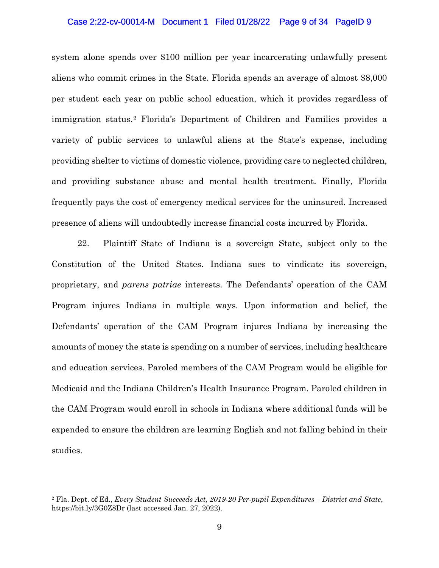#### Case 2:22-cv-00014-M Document 1 Filed 01/28/22 Page 9 of 34 PageID 9

system alone spends over \$100 million per year incarcerating unlawfully present aliens who commit crimes in the State. Florida spends an average of almost \$8,000 per student each year on public school education, which it provides regardless of immigration status.[2](#page-8-0) Florida's Department of Children and Families provides a variety of public services to unlawful aliens at the State's expense, including providing shelter to victims of domestic violence, providing care to neglected children, and providing substance abuse and mental health treatment. Finally, Florida frequently pays the cost of emergency medical services for the uninsured. Increased presence of aliens will undoubtedly increase financial costs incurred by Florida.

22. Plaintiff State of Indiana is a sovereign State, subject only to the Constitution of the United States. Indiana sues to vindicate its sovereign, proprietary, and *parens patriae* interests. The Defendants' operation of the CAM Program injures Indiana in multiple ways. Upon information and belief, the Defendants' operation of the CAM Program injures Indiana by increasing the amounts of money the state is spending on a number of services, including healthcare and education services. Paroled members of the CAM Program would be eligible for Medicaid and the Indiana Children's Health Insurance Program. Paroled children in the CAM Program would enroll in schools in Indiana where additional funds will be expended to ensure the children are learning English and not falling behind in their studies.

<span id="page-8-0"></span><sup>2</sup> Fla. Dept. of Ed., *Every Student Succeeds Act, 2019-20 Per-pupil Expenditures – District and State*, https://bit.ly/3G0Z8Dr (last accessed Jan. 27, 2022).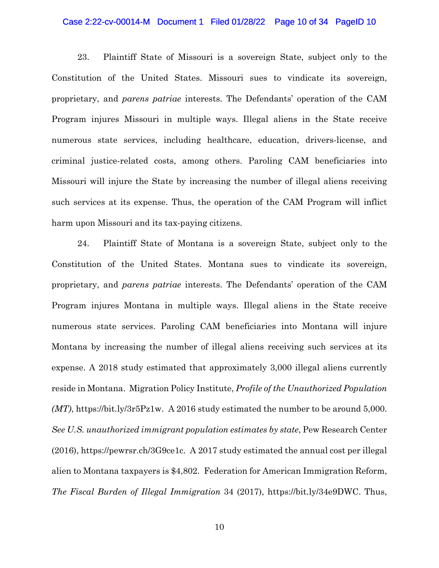#### Case 2:22-cv-00014-M Document 1 Filed 01/28/22 Page 10 of 34 PageID 10

23. Plaintiff State of Missouri is a sovereign State, subject only to the Constitution of the United States. Missouri sues to vindicate its sovereign, proprietary, and *parens patriae* interests. The Defendants' operation of the CAM Program injures Missouri in multiple ways. Illegal aliens in the State receive numerous state services, including healthcare, education, drivers-license, and criminal justice-related costs, among others. Paroling CAM beneficiaries into Missouri will injure the State by increasing the number of illegal aliens receiving such services at its expense. Thus, the operation of the CAM Program will inflict harm upon Missouri and its tax-paying citizens.

24. Plaintiff State of Montana is a sovereign State, subject only to the Constitution of the United States. Montana sues to vindicate its sovereign, proprietary, and *parens patriae* interests. The Defendants' operation of the CAM Program injures Montana in multiple ways. Illegal aliens in the State receive numerous state services. Paroling CAM beneficiaries into Montana will injure Montana by increasing the number of illegal aliens receiving such services at its expense. A 2018 study estimated that approximately 3,000 illegal aliens currently reside in Montana. Migration Policy Institute, *Profile of the Unauthorized Population (MT)*, https://bit.ly/3r5Pz1w. A 2016 study estimated the number to be around 5,000. *See U.S. unauthorized immigrant population estimates by state*, Pew Research Center (2016), https://pewrsr.ch/3G9ce1c. A 2017 study estimated the annual cost per illegal alien to Montana taxpayers is \$4,802. Federation for American Immigration Reform, *The Fiscal Burden of Illegal Immigration* 34 (2017), https://bit.ly/34e9DWC. Thus,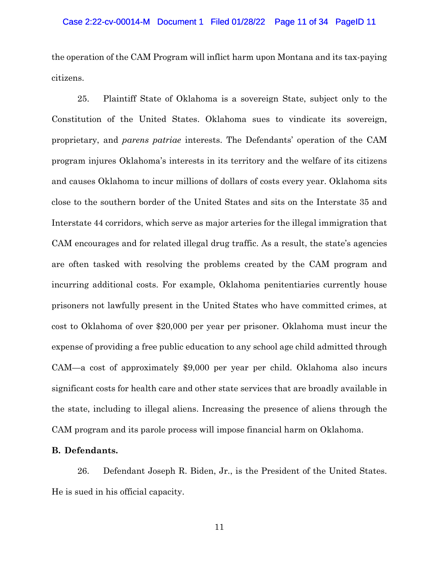the operation of the CAM Program will inflict harm upon Montana and its tax-paying citizens.

25. Plaintiff State of Oklahoma is a sovereign State, subject only to the Constitution of the United States. Oklahoma sues to vindicate its sovereign, proprietary, and *parens patriae* interests. The Defendants' operation of the CAM program injures Oklahoma's interests in its territory and the welfare of its citizens and causes Oklahoma to incur millions of dollars of costs every year. Oklahoma sits close to the southern border of the United States and sits on the Interstate 35 and Interstate 44 corridors, which serve as major arteries for the illegal immigration that CAM encourages and for related illegal drug traffic. As a result, the state's agencies are often tasked with resolving the problems created by the CAM program and incurring additional costs. For example, Oklahoma penitentiaries currently house prisoners not lawfully present in the United States who have committed crimes, at cost to Oklahoma of over \$20,000 per year per prisoner. Oklahoma must incur the expense of providing a free public education to any school age child admitted through CAM—a cost of approximately \$9,000 per year per child. Oklahoma also incurs significant costs for health care and other state services that are broadly available in the state, including to illegal aliens. Increasing the presence of aliens through the CAM program and its parole process will impose financial harm on Oklahoma.

# **B. Defendants.**

26. Defendant Joseph R. Biden, Jr., is the President of the United States. He is sued in his official capacity.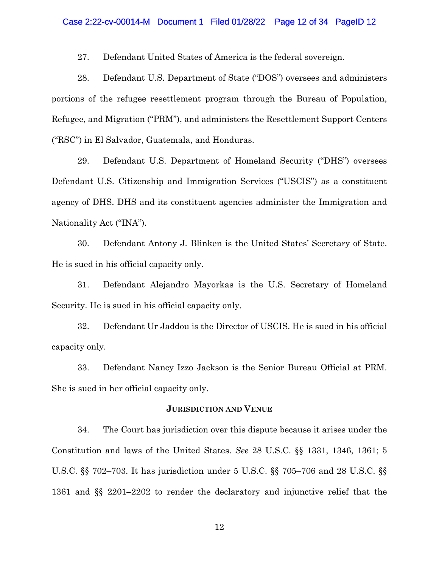27. Defendant United States of America is the federal sovereign.

28. Defendant U.S. Department of State ("DOS") oversees and administers portions of the refugee resettlement program through the Bureau of Population, Refugee, and Migration ("PRM"), and administers the Resettlement Support Centers ("RSC") in El Salvador, Guatemala, and Honduras.

29. Defendant U.S. Department of Homeland Security ("DHS") oversees Defendant U.S. Citizenship and Immigration Services ("USCIS") as a constituent agency of DHS. DHS and its constituent agencies administer the Immigration and Nationality Act ("INA").

30. Defendant Antony J. Blinken is the United States' Secretary of State. He is sued in his official capacity only.

31. Defendant Alejandro Mayorkas is the U.S. Secretary of Homeland Security. He is sued in his official capacity only.

32. Defendant Ur Jaddou is the Director of USCIS. He is sued in his official capacity only.

33. Defendant Nancy Izzo Jackson is the Senior Bureau Official at PRM. She is sued in her official capacity only.

#### **JURISDICTION AND VENUE**

34. The Court has jurisdiction over this dispute because it arises under the Constitution and laws of the United States. *See* 28 U.S.C. §§ 1331, 1346, 1361; 5 U.S.C. §§ 702–703. It has jurisdiction under 5 U.S.C. §§ 705–706 and 28 U.S.C. §§ 1361 and §§ 2201–2202 to render the declaratory and injunctive relief that the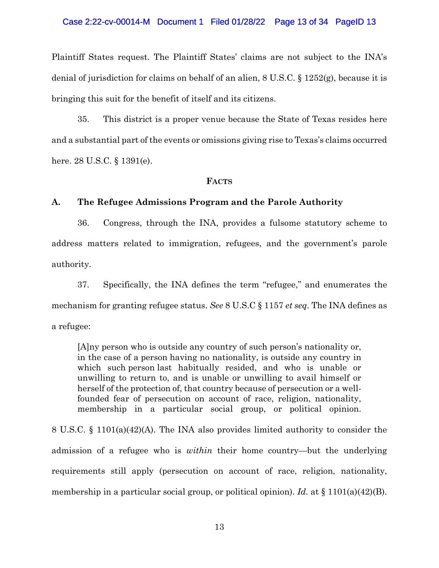#### Case 2:22-cv-00014-M Document 1 Filed 01/28/22 Page 13 of 34 PageID 13

Plaintiff States request. The Plaintiff States' claims are not subject to the INA's denial of jurisdiction for claims on behalf of an alien, 8 U.S.C. § 1252(g), because it is bringing this suit for the benefit of itself and its citizens.

35. This district is a proper venue because the State of Texas resides here and a substantial part of the events or omissions giving rise to Texas's claims occurred here. 28 U.S.C. § 1391(e).

#### **FACTS**

# **A. The Refugee Admissions Program and the Parole Authority**

36. Congress, through the INA, provides a fulsome statutory scheme to address matters related to immigration, refugees, and the government's parole authority.

37. Specifically, the INA defines the term "refugee," and enumerates the mechanism for granting refugee status. *See* 8 U.S.C § 1157 *et seq*. The INA defines as a refugee:

[A]ny person who is outside any country of such person's nationality or, in the case of a person having no nationality, is outside any country in which such person last habitually resided, and who is unable or unwilling to return to, and is unable or unwilling to avail himself or herself of the protection of, that country because of persecution or a wellfounded fear of persecution on account of race, religion, nationality, membership in a particular social group, or political opinion.

8 U.S.C. § 1101(a)(42)(A). The INA also provides limited authority to consider the admission of a refugee who is *within* their home country—but the underlying requirements still apply (persecution on account of race, religion, nationality, membership in a particular social group, or political opinion). *Id.* at § 1101(a)(42)(B).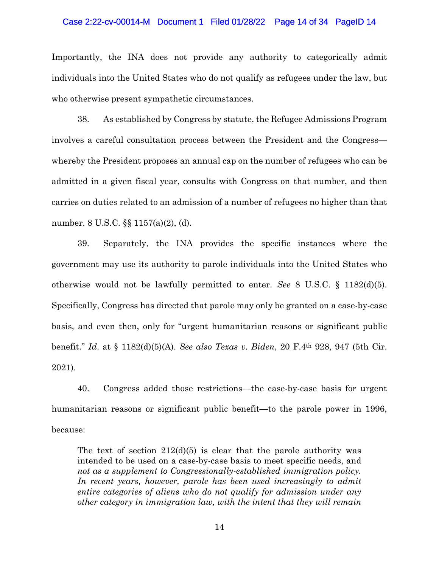#### Case 2:22-cv-00014-M Document 1 Filed 01/28/22 Page 14 of 34 PageID 14

Importantly, the INA does not provide any authority to categorically admit individuals into the United States who do not qualify as refugees under the law, but who otherwise present sympathetic circumstances.

38. As established by Congress by statute, the Refugee Admissions Program involves a careful consultation process between the President and the Congress whereby the President proposes an annual cap on the number of refugees who can be admitted in a given fiscal year, consults with Congress on that number, and then carries on duties related to an admission of a number of refugees no higher than that number. 8 U.S.C. §§ 1157(a)(2), (d).

39. Separately, the INA provides the specific instances where the government may use its authority to parole individuals into the United States who otherwise would not be lawfully permitted to enter. *See* 8 U.S.C. § 1182(d)(5). Specifically, Congress has directed that parole may only be granted on a case-by-case basis, and even then, only for "urgent humanitarian reasons or significant public benefit." *Id*. at § 1182(d)(5)(A). *See also Texas v. Biden*, 20 F.4th 928, 947 (5th Cir. 2021).

40. Congress added those restrictions—the case-by-case basis for urgent humanitarian reasons or significant public benefit—to the parole power in 1996, because:

The text of section  $212(d)(5)$  is clear that the parole authority was intended to be used on a case-by-case basis to meet specific needs, and *not as a supplement to Congressionally-established immigration policy.*  In recent years, however, parole has been used increasingly to admit *entire categories of aliens who do not qualify for admission under any other category in immigration law, with the intent that they will remain*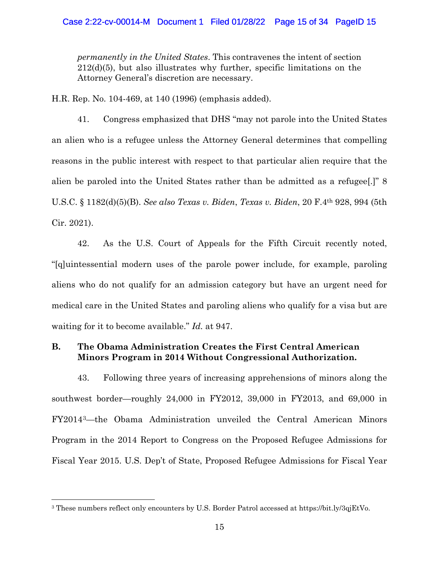*permanently in the United States*. This contravenes the intent of section 212(d)(5), but also illustrates why further, specific limitations on the Attorney General's discretion are necessary.

H.R. Rep. No. 104-469, at 140 (1996) (emphasis added).

41. Congress emphasized that DHS "may not parole into the United States an alien who is a refugee unless the Attorney General determines that compelling reasons in the public interest with respect to that particular alien require that the alien be paroled into the United States rather than be admitted as a refugee[.]" 8 U.S.C. § 1182(d)(5)(B). *See also Texas v. Biden*, *Texas v. Biden*, 20 F.4th 928, 994 (5th Cir. 2021).

42. As the U.S. Court of Appeals for the Fifth Circuit recently noted, "[q]uintessential modern uses of the parole power include, for example, paroling aliens who do not qualify for an admission category but have an urgent need for medical care in the United States and paroling aliens who qualify for a visa but are waiting for it to become available." *Id.* at 947.

# **B. The Obama Administration Creates the First Central American Minors Program in 2014 Without Congressional Authorization.**

43. Following three years of increasing apprehensions of minors along the southwest border—roughly 24,000 in FY2012, 39,000 in FY2013, and 69,000 in FY2014[3](#page-14-0)—the Obama Administration unveiled the Central American Minors Program in the 2014 Report to Congress on the Proposed Refugee Admissions for Fiscal Year 2015. U.S. Dep't of State, Proposed Refugee Admissions for Fiscal Year

<span id="page-14-0"></span><sup>3</sup> These numbers reflect only encounters by U.S. Border Patrol accessed at https://bit.ly/3qjEtVo.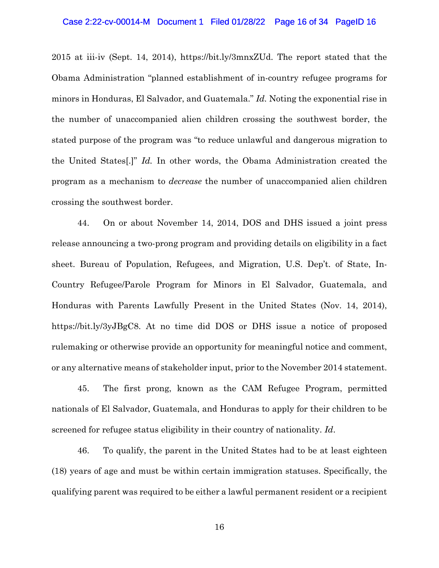#### Case 2:22-cv-00014-M Document 1 Filed 01/28/22 Page 16 of 34 PageID 16

2015 at iii-iv (Sept. 14, 2014), https://bit.ly/3mnxZUd. The report stated that the Obama Administration "planned establishment of in-country refugee programs for minors in Honduras, El Salvador, and Guatemala." *Id.* Noting the exponential rise in the number of unaccompanied alien children crossing the southwest border, the stated purpose of the program was "to reduce unlawful and dangerous migration to the United States[.]" *Id.* In other words, the Obama Administration created the program as a mechanism to *decrease* the number of unaccompanied alien children crossing the southwest border.

44. On or about November 14, 2014, DOS and DHS issued a joint press release announcing a two-prong program and providing details on eligibility in a fact sheet. Bureau of Population, Refugees, and Migration, U.S. Dep't. of State, In-Country Refugee/Parole Program for Minors in El Salvador, Guatemala, and Honduras with Parents Lawfully Present in the United States (Nov. 14, 2014), https://bit.ly/3yJBgC8. At no time did DOS or DHS issue a notice of proposed rulemaking or otherwise provide an opportunity for meaningful notice and comment, or any alternative means of stakeholder input, prior to the November 2014 statement.

45. The first prong, known as the CAM Refugee Program, permitted nationals of El Salvador, Guatemala, and Honduras to apply for their children to be screened for refugee status eligibility in their country of nationality. *Id*.

46. To qualify, the parent in the United States had to be at least eighteen (18) years of age and must be within certain immigration statuses. Specifically, the qualifying parent was required to be either a lawful permanent resident or a recipient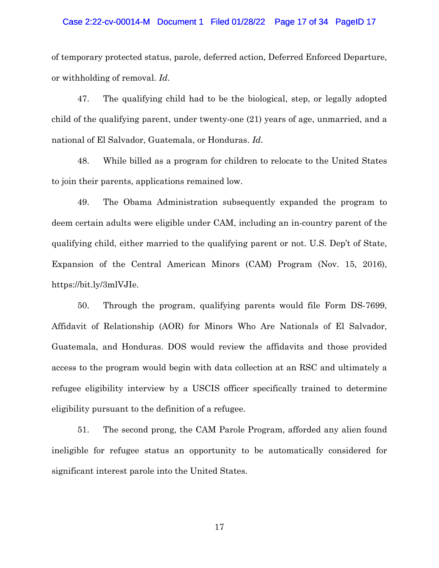#### Case 2:22-cv-00014-M Document 1 Filed 01/28/22 Page 17 of 34 PageID 17

of temporary protected status, parole, deferred action, Deferred Enforced Departure, or withholding of removal. *Id*.

47. The qualifying child had to be the biological, step, or legally adopted child of the qualifying parent, under twenty-one (21) years of age, unmarried, and a national of El Salvador, Guatemala, or Honduras. *Id*.

48. While billed as a program for children to relocate to the United States to join their parents, applications remained low.

49. The Obama Administration subsequently expanded the program to deem certain adults were eligible under CAM, including an in-country parent of the qualifying child, either married to the qualifying parent or not. U.S. Dep't of State, Expansion of the Central American Minors (CAM) Program (Nov. 15, 2016), https://bit.ly/3mlVJIe.

50. Through the program, qualifying parents would file Form DS-7699, Affidavit of Relationship (AOR) for Minors Who Are Nationals of El Salvador, Guatemala, and Honduras. DOS would review the affidavits and those provided access to the program would begin with data collection at an RSC and ultimately a refugee eligibility interview by a USCIS officer specifically trained to determine eligibility pursuant to the definition of a refugee.

51. The second prong, the CAM Parole Program, afforded any alien found ineligible for refugee status an opportunity to be automatically considered for significant interest parole into the United States.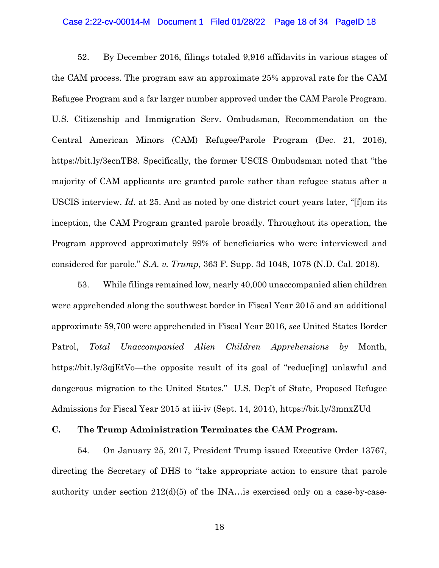#### Case 2:22-cv-00014-M Document 1 Filed 01/28/22 Page 18 of 34 PageID 18

52. By December 2016, filings totaled 9,916 affidavits in various stages of the CAM process. The program saw an approximate 25% approval rate for the CAM Refugee Program and a far larger number approved under the CAM Parole Program. U.S. Citizenship and Immigration Serv. Ombudsman, Recommendation on the Central American Minors (CAM) Refugee/Parole Program (Dec. 21, 2016), https://bit.ly/3ecnTB8. Specifically, the former USCIS Ombudsman noted that "the majority of CAM applicants are granted parole rather than refugee status after a USCIS interview. *Id.* at 25. And as noted by one district court years later, "[f]om its inception, the CAM Program granted parole broadly. Throughout its operation, the Program approved approximately 99% of beneficiaries who were interviewed and considered for parole." *S.A. v. Trump*, 363 F. Supp. 3d 1048, 1078 (N.D. Cal. 2018).

53. While filings remained low, nearly 40,000 unaccompanied alien children were apprehended along the southwest border in Fiscal Year 2015 and an additional approximate 59,700 were apprehended in Fiscal Year 2016, *see* United States Border Patrol, *Total Unaccompanied Alien Children Apprehensions by* Month, https://bit.ly/3qjEtVo—the opposite result of its goal of "reduc[ing] unlawful and dangerous migration to the United States." U.S. Dep't of State, Proposed Refugee Admissions for Fiscal Year 2015 at iii-iv (Sept. 14, 2014), https://bit.ly/3mnxZUd

# **C. The Trump Administration Terminates the CAM Program.**

54. On January 25, 2017, President Trump issued Executive Order 13767, directing the Secretary of DHS to "take appropriate action to ensure that parole authority under section 212(d)(5) of the INA…is exercised only on a case-by-case-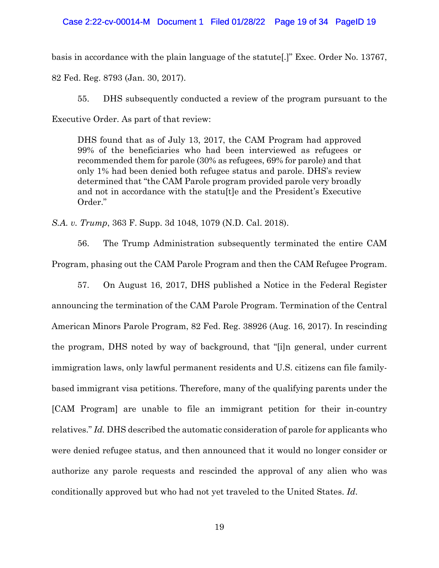basis in accordance with the plain language of the statute[.]" Exec. Order No. 13767, 82 Fed. Reg. 8793 (Jan. 30, 2017).

55. DHS subsequently conducted a review of the program pursuant to the Executive Order. As part of that review:

DHS found that as of July 13, 2017, the CAM Program had approved 99% of the beneficiaries who had been interviewed as refugees or recommended them for parole (30% as refugees, 69% for parole) and that only 1% had been denied both refugee status and parole. DHS's review determined that "the CAM Parole program provided parole very broadly and not in accordance with the statu[t]e and the President's Executive Order."

*S.A. v. Trump*, 363 F. Supp. 3d 1048, 1079 (N.D. Cal. 2018).

56. The Trump Administration subsequently terminated the entire CAM Program, phasing out the CAM Parole Program and then the CAM Refugee Program.

57. On August 16, 2017, DHS published a Notice in the Federal Register announcing the termination of the CAM Parole Program. Termination of the Central American Minors Parole Program, 82 Fed. Reg. 38926 (Aug. 16, 2017). In rescinding the program, DHS noted by way of background, that "[i]n general, under current immigration laws, only lawful permanent residents and U.S. citizens can file familybased immigrant visa petitions. Therefore, many of the qualifying parents under the [CAM Program] are unable to file an immigrant petition for their in-country relatives." *Id.* DHS described the automatic consideration of parole for applicants who were denied refugee status, and then announced that it would no longer consider or authorize any parole requests and rescinded the approval of any alien who was conditionally approved but who had not yet traveled to the United States. *Id*.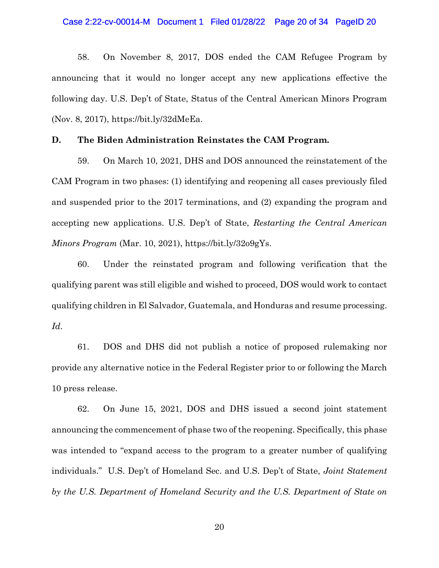#### Case 2:22-cv-00014-M Document 1 Filed 01/28/22 Page 20 of 34 PageID 20

58. On November 8, 2017, DOS ended the CAM Refugee Program by announcing that it would no longer accept any new applications effective the following day. U.S. Dep't of State, Status of the Central American Minors Program (Nov. 8, 2017), https://bit.ly/32dMeEa.

#### **D. The Biden Administration Reinstates the CAM Program.**

59. On March 10, 2021, DHS and DOS announced the reinstatement of the CAM Program in two phases: (1) identifying and reopening all cases previously filed and suspended prior to the 2017 terminations, and (2) expanding the program and accepting new applications. U.S. Dep't of State, *Restarting the Central American Minors Program* (Mar. 10, 2021), https://bit.ly/32o9gYs.

60. Under the reinstated program and following verification that the qualifying parent was still eligible and wished to proceed, DOS would work to contact qualifying children in El Salvador, Guatemala, and Honduras and resume processing. *Id*.

61. DOS and DHS did not publish a notice of proposed rulemaking nor provide any alternative notice in the Federal Register prior to or following the March 10 press release.

62. On June 15, 2021, DOS and DHS issued a second joint statement announcing the commencement of phase two of the reopening. Specifically, this phase was intended to "expand access to the program to a greater number of qualifying individuals." U.S. Dep't of Homeland Sec. and U.S. Dep't of State, *Joint Statement by the U.S. Department of Homeland Security and the U.S. Department of State on*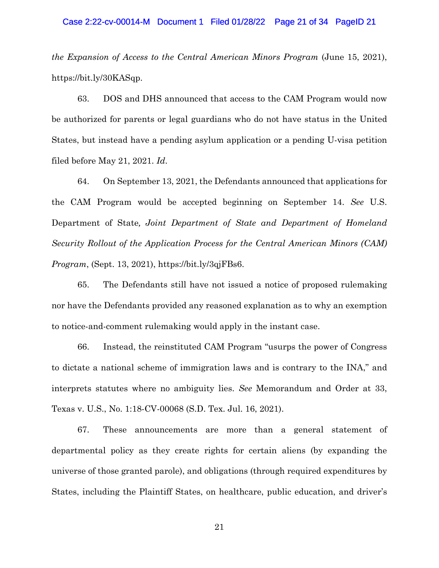#### Case 2:22-cv-00014-M Document 1 Filed 01/28/22 Page 21 of 34 PageID 21

*the Expansion of Access to the Central American Minors Program* (June 15, 2021), https://bit.ly/30KASqp.

63. DOS and DHS announced that access to the CAM Program would now be authorized for parents or legal guardians who do not have status in the United States, but instead have a pending asylum application or a pending U-visa petition filed before May 21, 2021. *Id*.

64. On September 13, 2021, the Defendants announced that applications for the CAM Program would be accepted beginning on September 14. *See* U.S. Department of State*, Joint Department of State and Department of Homeland Security Rollout of the Application Process for the Central American Minors (CAM) Program*, (Sept. 13, 2021), https://bit.ly/3qjFBs6.

65. The Defendants still have not issued a notice of proposed rulemaking nor have the Defendants provided any reasoned explanation as to why an exemption to notice-and-comment rulemaking would apply in the instant case.

66. Instead, the reinstituted CAM Program "usurps the power of Congress to dictate a national scheme of immigration laws and is contrary to the INA," and interprets statutes where no ambiguity lies. *See* Memorandum and Order at 33, Texas v. U.S., No. 1:18-CV-00068 (S.D. Tex. Jul. 16, 2021).

67. These announcements are more than a general statement of departmental policy as they create rights for certain aliens (by expanding the universe of those granted parole), and obligations (through required expenditures by States, including the Plaintiff States, on healthcare, public education, and driver's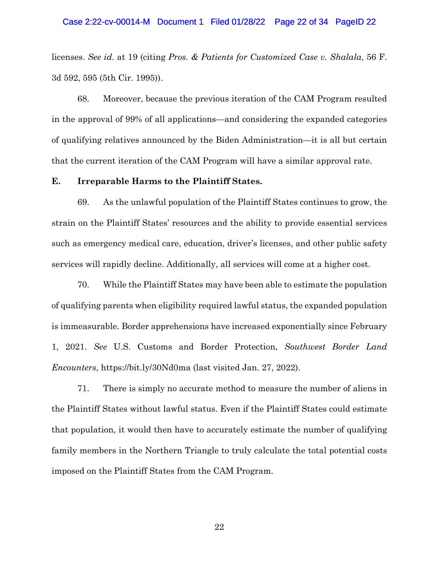#### Case 2:22-cv-00014-M Document 1 Filed 01/28/22 Page 22 of 34 PageID 22

licenses. *See id*. at 19 (citing *Pros. & Patients for Customized Case v. Shalala*, 56 F. 3d 592, 595 (5th Cir. 1995)).

68. Moreover, because the previous iteration of the CAM Program resulted in the approval of 99% of all applications—and considering the expanded categories of qualifying relatives announced by the Biden Administration—it is all but certain that the current iteration of the CAM Program will have a similar approval rate.

# **E. Irreparable Harms to the Plaintiff States.**

69. As the unlawful population of the Plaintiff States continues to grow, the strain on the Plaintiff States' resources and the ability to provide essential services such as emergency medical care, education, driver's licenses, and other public safety services will rapidly decline. Additionally, all services will come at a higher cost.

70. While the Plaintiff States may have been able to estimate the population of qualifying parents when eligibility required lawful status, the expanded population is immeasurable. Border apprehensions have increased exponentially since February 1, 2021. *See* U.S. Customs and Border Protection, *Southwest Border Land Encounters*, https://bit.ly/30Nd0ma (last visited Jan. 27, 2022).

71. There is simply no accurate method to measure the number of aliens in the Plaintiff States without lawful status. Even if the Plaintiff States could estimate that population, it would then have to accurately estimate the number of qualifying family members in the Northern Triangle to truly calculate the total potential costs imposed on the Plaintiff States from the CAM Program.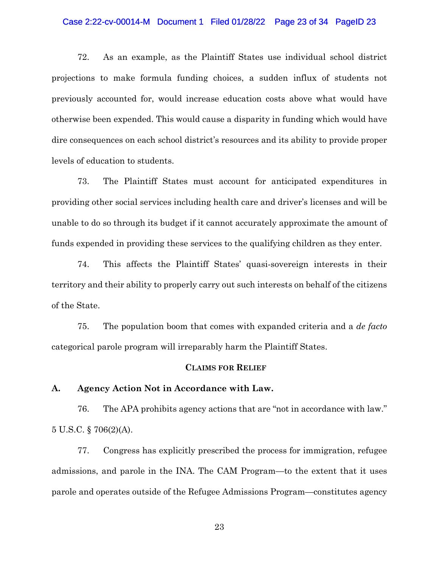#### Case 2:22-cv-00014-M Document 1 Filed 01/28/22 Page 23 of 34 PageID 23

72. As an example, as the Plaintiff States use individual school district projections to make formula funding choices, a sudden influx of students not previously accounted for, would increase education costs above what would have otherwise been expended. This would cause a disparity in funding which would have dire consequences on each school district's resources and its ability to provide proper levels of education to students.

73. The Plaintiff States must account for anticipated expenditures in providing other social services including health care and driver's licenses and will be unable to do so through its budget if it cannot accurately approximate the amount of funds expended in providing these services to the qualifying children as they enter.

74. This affects the Plaintiff States' quasi-sovereign interests in their territory and their ability to properly carry out such interests on behalf of the citizens of the State.

75. The population boom that comes with expanded criteria and a *de facto* categorical parole program will irreparably harm the Plaintiff States.

## **CLAIMS FOR RELIEF**

#### **A. Agency Action Not in Accordance with Law.**

76. The APA prohibits agency actions that are "not in accordance with law." 5 U.S.C. § 706(2)(A).

77. Congress has explicitly prescribed the process for immigration, refugee admissions, and parole in the INA. The CAM Program—to the extent that it uses parole and operates outside of the Refugee Admissions Program—constitutes agency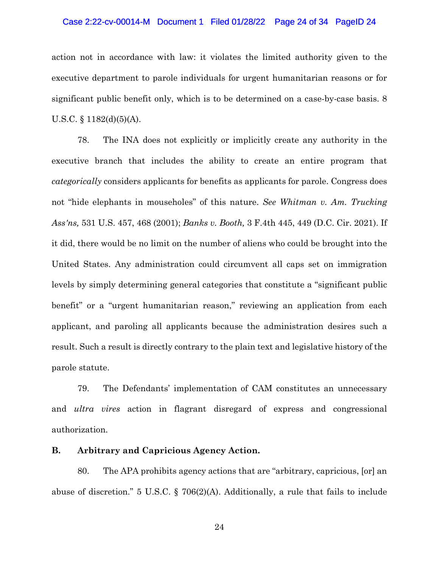#### Case 2:22-cv-00014-M Document 1 Filed 01/28/22 Page 24 of 34 PageID 24

action not in accordance with law: it violates the limited authority given to the executive department to parole individuals for urgent humanitarian reasons or for significant public benefit only, which is to be determined on a case-by-case basis. 8 U.S.C.  $\S$  1182(d)(5)(A).

78. The INA does not explicitly or implicitly create any authority in the executive branch that includes the ability to create an entire program that *categorically* considers applicants for benefits as applicants for parole. Congress does not "hide elephants in mouseholes" of this nature. *See Whitman v. Am. Trucking Ass'ns,* 531 U.S. 457, 468 (2001); *Banks v. Booth,* 3 F.4th 445, 449 (D.C. Cir. 2021). If it did, there would be no limit on the number of aliens who could be brought into the United States. Any administration could circumvent all caps set on immigration levels by simply determining general categories that constitute a "significant public benefit" or a "urgent humanitarian reason," reviewing an application from each applicant, and paroling all applicants because the administration desires such a result. Such a result is directly contrary to the plain text and legislative history of the parole statute.

79. The Defendants' implementation of CAM constitutes an unnecessary and *ultra vires* action in flagrant disregard of express and congressional authorization.

# **B. Arbitrary and Capricious Agency Action.**

80. The APA prohibits agency actions that are "arbitrary, capricious, [or] an abuse of discretion." 5 U.S.C. § 706(2)(A). Additionally, a rule that fails to include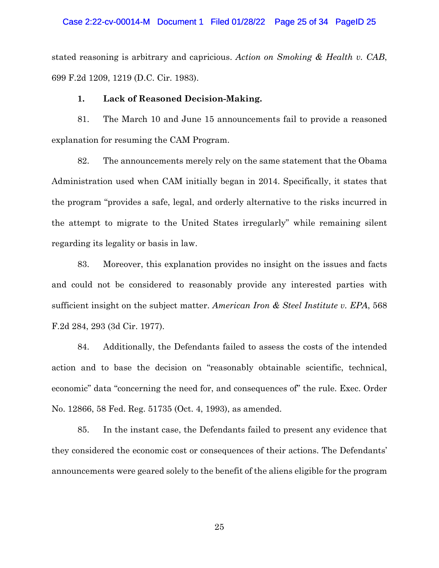#### Case 2:22-cv-00014-M Document 1 Filed 01/28/22 Page 25 of 34 PageID 25

stated reasoning is arbitrary and capricious. *Action on Smoking & Health v. CAB*, 699 F.2d 1209, 1219 (D.C. Cir. 1983).

# **1. Lack of Reasoned Decision-Making.**

81. The March 10 and June 15 announcements fail to provide a reasoned explanation for resuming the CAM Program.

82. The announcements merely rely on the same statement that the Obama Administration used when CAM initially began in 2014. Specifically, it states that the program "provides a safe, legal, and orderly alternative to the risks incurred in the attempt to migrate to the United States irregularly" while remaining silent regarding its legality or basis in law.

83. Moreover, this explanation provides no insight on the issues and facts and could not be considered to reasonably provide any interested parties with sufficient insight on the subject matter. *American Iron & Steel Institute v. EPA*, 568 F.2d 284, 293 (3d Cir. 1977).

84. Additionally, the Defendants failed to assess the costs of the intended action and to base the decision on "reasonably obtainable scientific, technical, economic" data "concerning the need for, and consequences of" the rule. Exec. Order No. 12866, 58 Fed. Reg. 51735 (Oct. 4, 1993), as amended.

85. In the instant case, the Defendants failed to present any evidence that they considered the economic cost or consequences of their actions. The Defendants' announcements were geared solely to the benefit of the aliens eligible for the program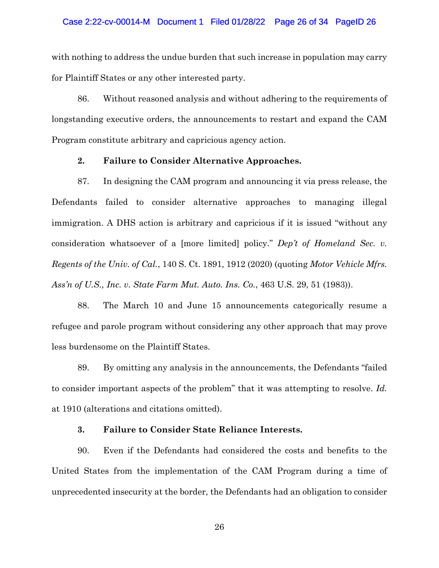#### Case 2:22-cv-00014-M Document 1 Filed 01/28/22 Page 26 of 34 PageID 26

with nothing to address the undue burden that such increase in population may carry for Plaintiff States or any other interested party.

86. Without reasoned analysis and without adhering to the requirements of longstanding executive orders, the announcements to restart and expand the CAM Program constitute arbitrary and capricious agency action.

#### **2. Failure to Consider Alternative Approaches.**

87. In designing the CAM program and announcing it via press release, the Defendants failed to consider alternative approaches to managing illegal immigration. A DHS action is arbitrary and capricious if it is issued "without any consideration whatsoever of a [more limited] policy." *Dep't of Homeland Sec. v. Regents of the Univ. of Cal.*, 140 S. Ct. 1891, 1912 (2020) (quoting *Motor Vehicle Mfrs. Ass'n of U.S., Inc. v. State Farm Mut. Auto. Ins. Co.*, 463 U.S. 29, 51 (1983)).

88. The March 10 and June 15 announcements categorically resume a refugee and parole program without considering any other approach that may prove less burdensome on the Plaintiff States.

89. By omitting any analysis in the announcements, the Defendants "failed to consider important aspects of the problem" that it was attempting to resolve. *Id.* at 1910 (alterations and citations omitted).

## **3. Failure to Consider State Reliance Interests.**

90. Even if the Defendants had considered the costs and benefits to the United States from the implementation of the CAM Program during a time of unprecedented insecurity at the border, the Defendants had an obligation to consider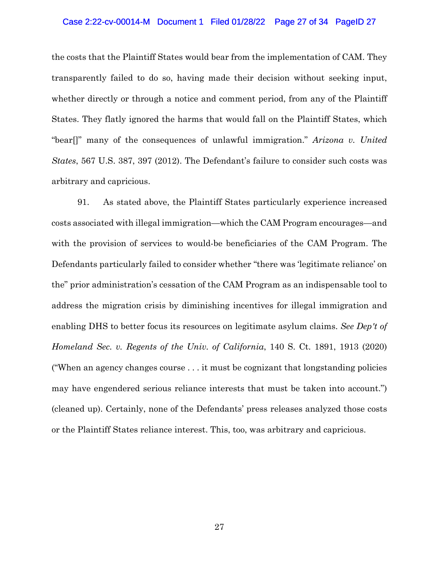#### Case 2:22-cv-00014-M Document 1 Filed 01/28/22 Page 27 of 34 PageID 27

the costs that the Plaintiff States would bear from the implementation of CAM. They transparently failed to do so, having made their decision without seeking input, whether directly or through a notice and comment period, from any of the Plaintiff States. They flatly ignored the harms that would fall on the Plaintiff States, which "bear[]" many of the consequences of unlawful immigration." *Arizona v. United States*, 567 U.S. 387, 397 (2012). The Defendant's failure to consider such costs was arbitrary and capricious.

91. As stated above, the Plaintiff States particularly experience increased costs associated with illegal immigration—which the CAM Program encourages—and with the provision of services to would-be beneficiaries of the CAM Program. The Defendants particularly failed to consider whether "there was 'legitimate reliance' on the" prior administration's cessation of the CAM Program as an indispensable tool to address the migration crisis by diminishing incentives for illegal immigration and enabling DHS to better focus its resources on legitimate asylum claims. *See Dep't of Homeland Sec. v. Regents of the Univ. of California*, 140 S. Ct. 1891, 1913 (2020) ("When an agency changes course . . . it must be cognizant that longstanding policies may have engendered serious reliance interests that must be taken into account.") (cleaned up). Certainly, none of the Defendants' press releases analyzed those costs or the Plaintiff States reliance interest. This, too, was arbitrary and capricious.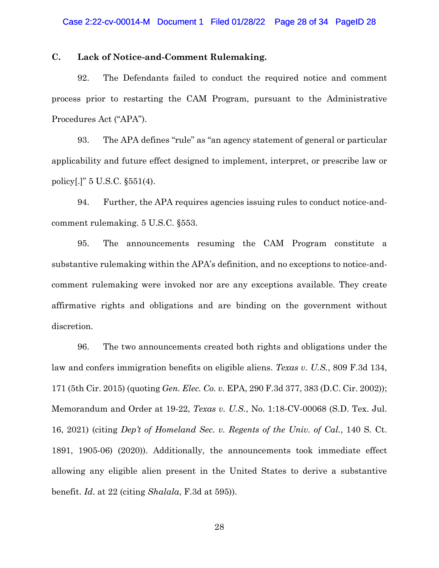# **C. Lack of Notice-and-Comment Rulemaking.**

92. The Defendants failed to conduct the required notice and comment process prior to restarting the CAM Program, pursuant to the Administrative Procedures Act ("APA").

93. The APA defines "rule" as "an agency statement of general or particular applicability and future effect designed to implement, interpret, or prescribe law or policy[.]" 5 U.S.C. §551(4).

94. Further, the APA requires agencies issuing rules to conduct notice-andcomment rulemaking. 5 U.S.C. §553.

95. The announcements resuming the CAM Program constitute a substantive rulemaking within the APA's definition, and no exceptions to notice-andcomment rulemaking were invoked nor are any exceptions available. They create affirmative rights and obligations and are binding on the government without discretion.

96. The two announcements created both rights and obligations under the law and confers immigration benefits on eligible aliens. *Texas v. U.S.*, 809 F.3d 134, 171 (5th Cir. 2015) (quoting *Gen. Elec. Co. v.* EPA, 290 F.3d 377, 383 (D.C. Cir. 2002)); Memorandum and Order at 19-22, *Texas v. U.S.*, No. 1:18-CV-00068 (S.D. Tex. Jul. 16, 2021) (citing *Dep't of Homeland Sec. v. Regents of the Univ. of Cal.*, 140 S. Ct. 1891, 1905-06) (2020)). Additionally, the announcements took immediate effect allowing any eligible alien present in the United States to derive a substantive benefit. *Id*. at 22 (citing *Shalala*, F.3d at 595)).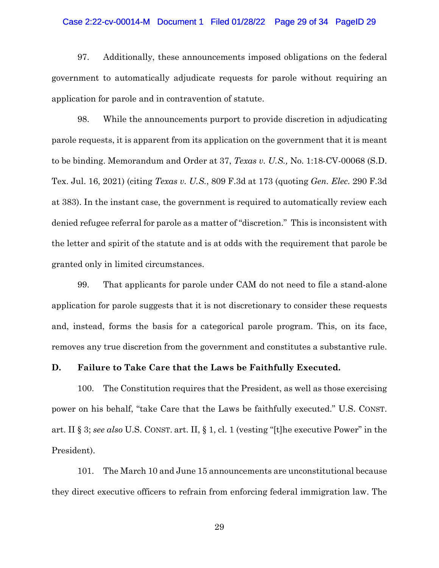#### Case 2:22-cv-00014-M Document 1 Filed 01/28/22 Page 29 of 34 PageID 29

97. Additionally, these announcements imposed obligations on the federal government to automatically adjudicate requests for parole without requiring an application for parole and in contravention of statute.

98. While the announcements purport to provide discretion in adjudicating parole requests, it is apparent from its application on the government that it is meant to be binding. Memorandum and Order at 37, *Texas v. U.S.,* No. 1:18-CV-00068 (S.D. Tex. Jul. 16, 2021) (citing *Texas v. U.S.*, 809 F.3d at 173 (quoting *Gen. Elec.* 290 F.3d at 383). In the instant case, the government is required to automatically review each denied refugee referral for parole as a matter of "discretion." This is inconsistent with the letter and spirit of the statute and is at odds with the requirement that parole be granted only in limited circumstances.

99. That applicants for parole under CAM do not need to file a stand-alone application for parole suggests that it is not discretionary to consider these requests and, instead, forms the basis for a categorical parole program. This, on its face, removes any true discretion from the government and constitutes a substantive rule.

#### **D. Failure to Take Care that the Laws be Faithfully Executed.**

100. The Constitution requires that the President, as well as those exercising power on his behalf, "take Care that the Laws be faithfully executed." U.S. CONST. art. II § 3; *see also* U.S. CONST. art. II, § 1, cl. 1 (vesting "[t]he executive Power" in the President).

101. The March 10 and June 15 announcements are unconstitutional because they direct executive officers to refrain from enforcing federal immigration law. The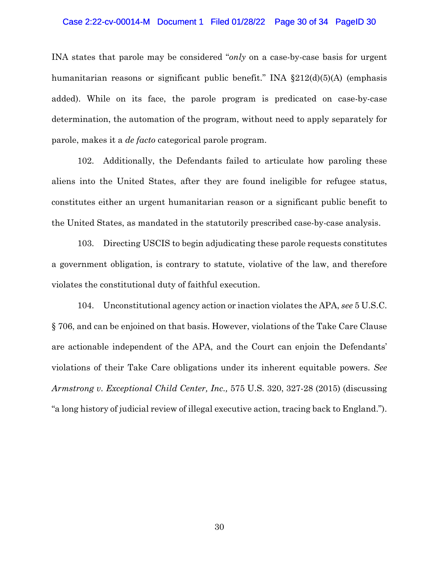#### Case 2:22-cv-00014-M Document 1 Filed 01/28/22 Page 30 of 34 PageID 30

INA states that parole may be considered "*only* on a case-by-case basis for urgent humanitarian reasons or significant public benefit." INA §212(d)(5)(A) (emphasis added). While on its face, the parole program is predicated on case-by-case determination, the automation of the program, without need to apply separately for parole, makes it a *de facto* categorical parole program.

102. Additionally, the Defendants failed to articulate how paroling these aliens into the United States, after they are found ineligible for refugee status, constitutes either an urgent humanitarian reason or a significant public benefit to the United States, as mandated in the statutorily prescribed case-by-case analysis.

103. Directing USCIS to begin adjudicating these parole requests constitutes a government obligation, is contrary to statute, violative of the law, and therefore violates the constitutional duty of faithful execution.

104. Unconstitutional agency action or inaction violates the APA, *see* 5 U.S.C. § 706, and can be enjoined on that basis. However, violations of the Take Care Clause are actionable independent of the APA, and the Court can enjoin the Defendants' violations of their Take Care obligations under its inherent equitable powers. *See Armstrong v. Exceptional Child Center, Inc.,* 575 U.S. 320, 327-28 (2015) (discussing "a long history of judicial review of illegal executive action, tracing back to England.").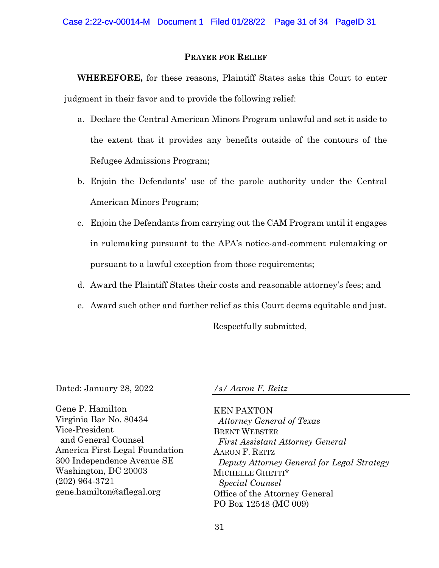# **PRAYER FOR RELIEF**

**WHEREFORE,** for these reasons, Plaintiff States asks this Court to enter judgment in their favor and to provide the following relief:

- a. Declare the Central American Minors Program unlawful and set it aside to the extent that it provides any benefits outside of the contours of the Refugee Admissions Program;
- b. Enjoin the Defendants' use of the parole authority under the Central American Minors Program;
- c. Enjoin the Defendants from carrying out the CAM Program until it engages in rulemaking pursuant to the APA's notice-and-comment rulemaking or pursuant to a lawful exception from those requirements;
- d. Award the Plaintiff States their costs and reasonable attorney's fees; and
- e. Award such other and further relief as this Court deems equitable and just.

Respectfully submitted,

Dated: January 28, 2022

*/s/ Aaron F. Reitz*

Gene P. Hamilton Virginia Bar No. 80434 Vice-President and General Counsel America First Legal Foundation 300 Independence Avenue SE Washington, DC 20003 (202) 964-3721 gene.hamilton@aflegal.org

KEN PAXTON *Attorney General of Texas* BRENT WEBSTER *First Assistant Attorney General* AARON F. REITZ *Deputy Attorney General for Legal Strategy* MICHELLE GHETTI\* *Special Counsel* Office of the Attorney General PO Box 12548 (MC 009)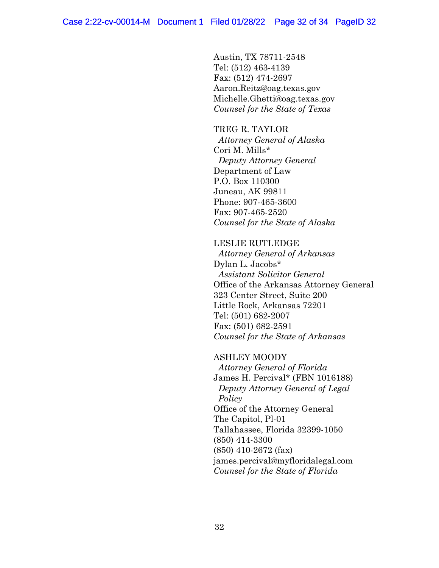Austin, TX 78711-2548 Tel: (512) 463-4139 Fax: (512) 474-2697 Aaron.Reitz@oag.texas.gov Michelle.Ghetti@oag.texas.gov *Counsel for the State of Texas*

TREG R. TAYLOR *Attorney General of Alaska* Cori M. Mills\* *Deputy Attorney General* Department of Law P.O. Box 110300 Juneau, AK 99811 Phone: 907-465-3600 Fax: 907-465-2520 *Counsel for the State of Alaska*

LESLIE RUTLEDGE *Attorney General of Arkansas* Dylan L. Jacobs\* *Assistant Solicitor General* Office of the Arkansas Attorney General 323 Center Street, Suite 200 Little Rock, Arkansas 72201 Tel: (501) 682-2007 Fax: (501) 682-2591 *Counsel for the State of Arkansas*

ASHLEY MOODY  *Attorney General of Florida* James H. Percival\* (FBN 1016188) *Deputy Attorney General of Legal Policy* Office of the Attorney General The Capitol, Pl-01 Tallahassee, Florida 32399-1050 (850) 414-3300 (850) 410-2672 (fax) james.percival@myfloridalegal.com *Counsel for the State of Florida*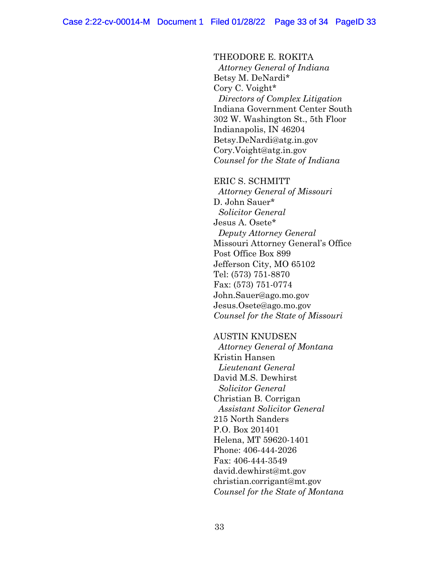THEODORE E. ROKITA *Attorney General of Indiana* Betsy M. DeNardi\* Cory C. Voight\* *Directors of Complex Litigation* Indiana Government Center South 302 W. Washington St., 5th Floor Indianapolis, IN 46204 Betsy.DeNardi@atg.in.gov Cory.Voight@atg.in.gov *Counsel for the State of Indiana*

ERIC S. SCHMITT *Attorney General of Missouri* D. John Sauer\* *Solicitor General* Jesus A. Osete\*  *Deputy Attorney General* Missouri Attorney General's Office Post Office Box 899 Jefferson City, MO 65102 Tel: (573) 751-8870 Fax: (573) 751-0774 John.Sauer@ago.mo.gov Jesus.Osete@ago.mo.gov *Counsel for the State of Missouri*

AUSTIN KNUDSEN *Attorney General of Montana* Kristin Hansen *Lieutenant General* David M.S. Dewhirst *Solicitor General* Christian B. Corrigan *Assistant Solicitor General* 215 North Sanders P.O. Box 201401 Helena, MT 59620-1401 Phone: 406-444-2026 Fax: 406-444-3549 david.dewhirst@mt.gov christian.corrigant@mt.gov *Counsel for the State of Montana*